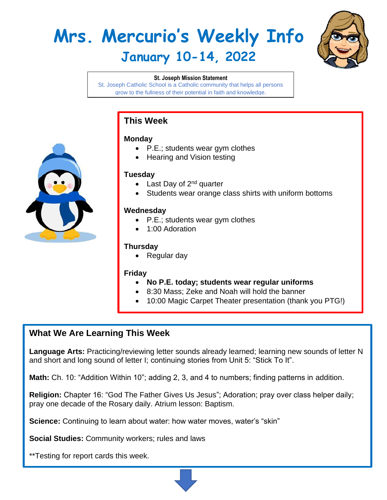# **Mrs. Mercurio's Weekly Info January 10-14, 2022**



#### **St. Joseph Mission Statement**

St. Joseph Catholic School is a Catholic community that helps all persons grow to the fullness of their potential in faith and knowledge.

## **This Week**

#### **Monday**

- P.E.; students wear gym clothes
- Hearing and Vision testing

#### **Tuesday**

- Last Day of  $2^{nd}$  quarter
- Students wear orange class shirts with uniform bottoms

#### **Wednesday**

- P.E.; students wear gym clothes
- 1:00 Adoration

### **Thursday**

• Regular day

#### **Friday**

- **No P.E. today; students wear regular uniforms**
- 8:30 Mass; Zeke and Noah will hold the banner
- 10:00 Magic Carpet Theater presentation (thank you PTG!)

## **What We Are Learning This Week**

**Language Arts:** Practicing/reviewing letter sounds already learned; learning new sounds of letter N and short and long sound of letter I; continuing stories from Unit 5: "Stick To It".

**Math:** Ch. 10: "Addition Within 10"; adding 2, 3, and 4 to numbers; finding patterns in addition.

**Religion:** Chapter 16: "God The Father Gives Us Jesus"; Adoration; pray over class helper daily; pray one decade of the Rosary daily. Atrium lesson: Baptism.

**Science:** Continuing to learn about water: how water moves, water's "skin"

**Social Studies:** Community workers; rules and laws

\*\*Testing for report cards this week.